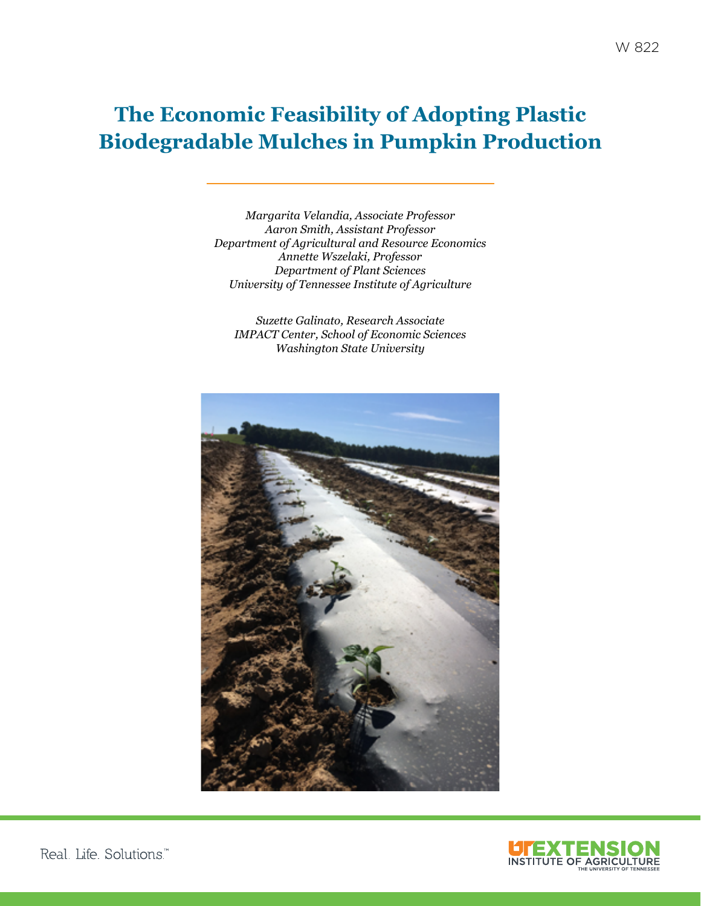# **The Economic Feasibility of Adopting Plastic Biodegradable Mulches in Pumpkin Production**

*Margarita Velandia, Associate Professor Aaron Smith, Assistant Professor Department of Agricultural and Resource Economics Annette Wszelaki, Professor Department of Plant Sciences University of Tennessee Institute of Agriculture*

*Suzette Galinato, Research Associate IMPACT Center, School of Economic Sciences Washington State University*



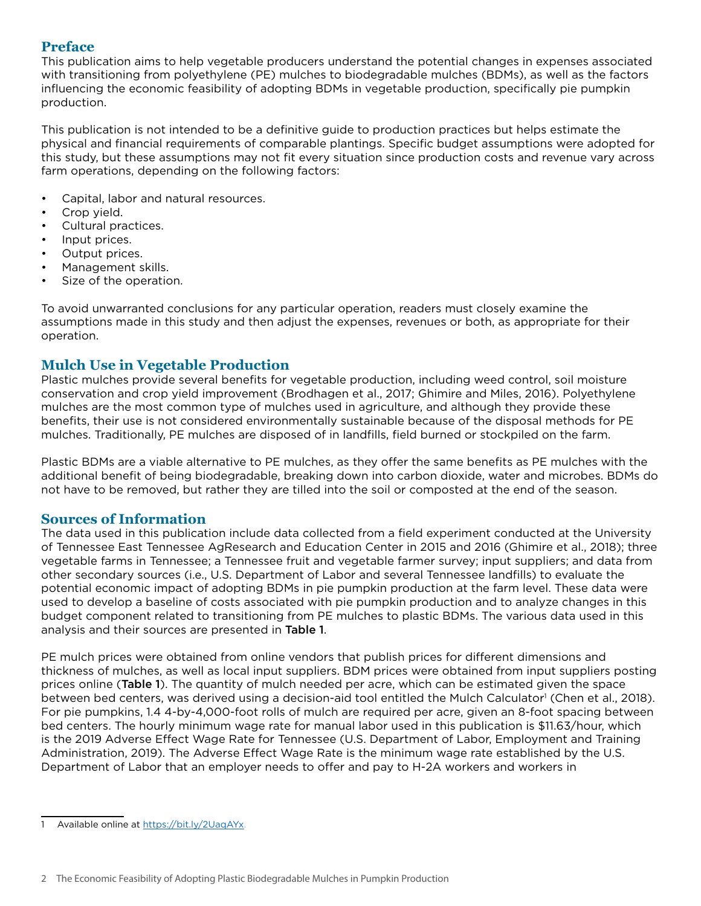## **Preface**

This publication aims to help vegetable producers understand the potential changes in expenses associated with transitioning from polyethylene (PE) mulches to biodegradable mulches (BDMs), as well as the factors influencing the economic feasibility of adopting BDMs in vegetable production, specifically pie pumpkin production.

This publication is not intended to be a definitive guide to production practices but helps estimate the physical and financial requirements of comparable plantings. Specific budget assumptions were adopted for this study, but these assumptions may not fit every situation since production costs and revenue vary across farm operations, depending on the following factors:

- Capital, labor and natural resources.
- Crop yield.
- Cultural practices.
- Input prices.
- Output prices.
- Management skills.
- Size of the operation.

To avoid unwarranted conclusions for any particular operation, readers must closely examine the assumptions made in this study and then adjust the expenses, revenues or both, as appropriate for their operation.

# **Mulch Use in Vegetable Production**

Plastic mulches provide several benefits for vegetable production, including weed control, soil moisture conservation and crop yield improvement (Brodhagen et al., 2017; Ghimire and Miles, 2016). Polyethylene mulches are the most common type of mulches used in agriculture, and although they provide these benefits, their use is not considered environmentally sustainable because of the disposal methods for PE mulches. Traditionally, PE mulches are disposed of in landfills, field burned or stockpiled on the farm.

Plastic BDMs are a viable alternative to PE mulches, as they offer the same benefits as PE mulches with the additional benefit of being biodegradable, breaking down into carbon dioxide, water and microbes. BDMs do not have to be removed, but rather they are tilled into the soil or composted at the end of the season.

# **Sources of Information**

The data used in this publication include data collected from a field experiment conducted at the University of Tennessee East Tennessee AgResearch and Education Center in 2015 and 2016 (Ghimire et al., 2018); three vegetable farms in Tennessee; a Tennessee fruit and vegetable farmer survey; input suppliers; and data from other secondary sources (i.e., U.S. Department of Labor and several Tennessee landfills) to evaluate the potential economic impact of adopting BDMs in pie pumpkin production at the farm level. These data were used to develop a baseline of costs associated with pie pumpkin production and to analyze changes in this budget component related to transitioning from PE mulches to plastic BDMs. The various data used in this analysis and their sources are presented in Table 1.

PE mulch prices were obtained from online vendors that publish prices for different dimensions and thickness of mulches, as well as local input suppliers. BDM prices were obtained from input suppliers posting prices online (Table 1). The quantity of mulch needed per acre, which can be estimated given the space between bed centers, was derived using a decision-aid tool entitled the Mulch Calculator' (Chen et al., 2018). For pie pumpkins, 1.4 4-by-4,000-foot rolls of mulch are required per acre, given an 8-foot spacing between bed centers. The hourly minimum wage rate for manual labor used in this publication is \$11.63/hour, which is the 2019 Adverse Effect Wage Rate for Tennessee (U.S. Department of Labor, Employment and Training Administration, 2019). The Adverse Effect Wage Rate is the minimum wage rate established by the U.S. Department of Labor that an employer needs to offer and pay to H-2A workers and workers in

<sup>1</sup> Available online at <https://bit.ly/2UaqAYx>.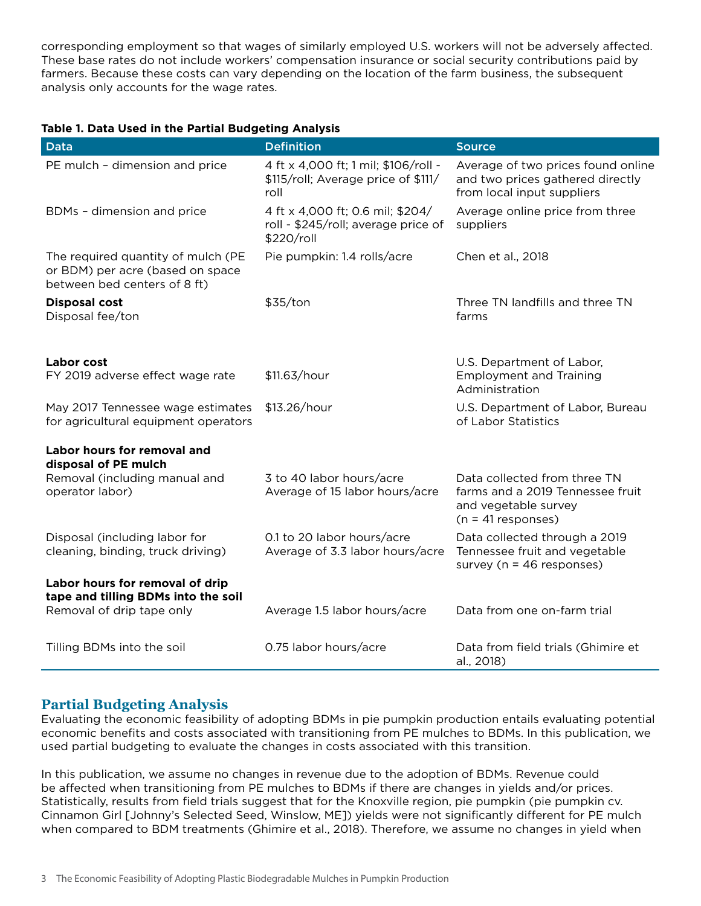corresponding employment so that wages of similarly employed U.S. workers will not be adversely affected. These base rates do not include workers' compensation insurance or social security contributions paid by farmers. Because these costs can vary depending on the location of the farm business, the subsequent analysis only accounts for the wage rates.

#### **Table 1. Data Used in the Partial Budgeting Analysis**

| <b>Data</b>                                                                                            | <b>Definition</b>                                                                     | <b>Source</b>                                                                                        |  |
|--------------------------------------------------------------------------------------------------------|---------------------------------------------------------------------------------------|------------------------------------------------------------------------------------------------------|--|
| PE mulch - dimension and price                                                                         | 4 ft x 4,000 ft; 1 mil; \$106/roll -<br>\$115/roll; Average price of \$111/<br>roll   | Average of two prices found online<br>and two prices gathered directly<br>from local input suppliers |  |
| BDMs - dimension and price                                                                             | 4 ft x 4,000 ft; 0.6 mil; \$204/<br>roll - \$245/roll; average price of<br>\$220/roll | Average online price from three<br>suppliers                                                         |  |
| The required quantity of mulch (PE<br>or BDM) per acre (based on space<br>between bed centers of 8 ft) | Pie pumpkin: 1.4 rolls/acre                                                           | Chen et al., 2018                                                                                    |  |
| <b>Disposal cost</b><br>Disposal fee/ton                                                               | \$35/ton                                                                              | Three TN landfills and three TN<br>farms                                                             |  |
|                                                                                                        |                                                                                       |                                                                                                      |  |
| Labor cost<br>FY 2019 adverse effect wage rate                                                         | \$11.63/hour                                                                          | U.S. Department of Labor,<br><b>Employment and Training</b><br>Administration                        |  |
| May 2017 Tennessee wage estimates<br>for agricultural equipment operators                              | \$13.26/hour                                                                          | U.S. Department of Labor, Bureau<br>of Labor Statistics                                              |  |
| Labor hours for removal and                                                                            |                                                                                       |                                                                                                      |  |
| disposal of PE mulch<br>Removal (including manual and                                                  | 3 to 40 labor hours/acre                                                              | Data collected from three TN                                                                         |  |
| operator labor)                                                                                        | Average of 15 labor hours/acre                                                        | farms and a 2019 Tennessee fruit<br>and vegetable survey<br>$(n = 41$ responses)                     |  |
| Disposal (including labor for<br>cleaning, binding, truck driving)                                     | 0.1 to 20 labor hours/acre<br>Average of 3.3 labor hours/acre                         | Data collected through a 2019<br>Tennessee fruit and vegetable<br>survey ( $n = 46$ responses)       |  |
| Labor hours for removal of drip                                                                        |                                                                                       |                                                                                                      |  |
| tape and tilling BDMs into the soil<br>Removal of drip tape only                                       | Average 1.5 labor hours/acre                                                          | Data from one on-farm trial                                                                          |  |
| Tilling BDMs into the soil                                                                             | 0.75 labor hours/acre                                                                 | Data from field trials (Ghimire et<br>al., 2018)                                                     |  |

#### **Partial Budgeting Analysis**

Evaluating the economic feasibility of adopting BDMs in pie pumpkin production entails evaluating potential economic benefits and costs associated with transitioning from PE mulches to BDMs. In this publication, we used partial budgeting to evaluate the changes in costs associated with this transition.

In this publication, we assume no changes in revenue due to the adoption of BDMs. Revenue could be affected when transitioning from PE mulches to BDMs if there are changes in yields and/or prices. Statistically, results from field trials suggest that for the Knoxville region, pie pumpkin (pie pumpkin cv. Cinnamon Girl [Johnny's Selected Seed, Winslow, ME]) yields were not significantly different for PE mulch when compared to BDM treatments (Ghimire et al., 2018). Therefore, we assume no changes in yield when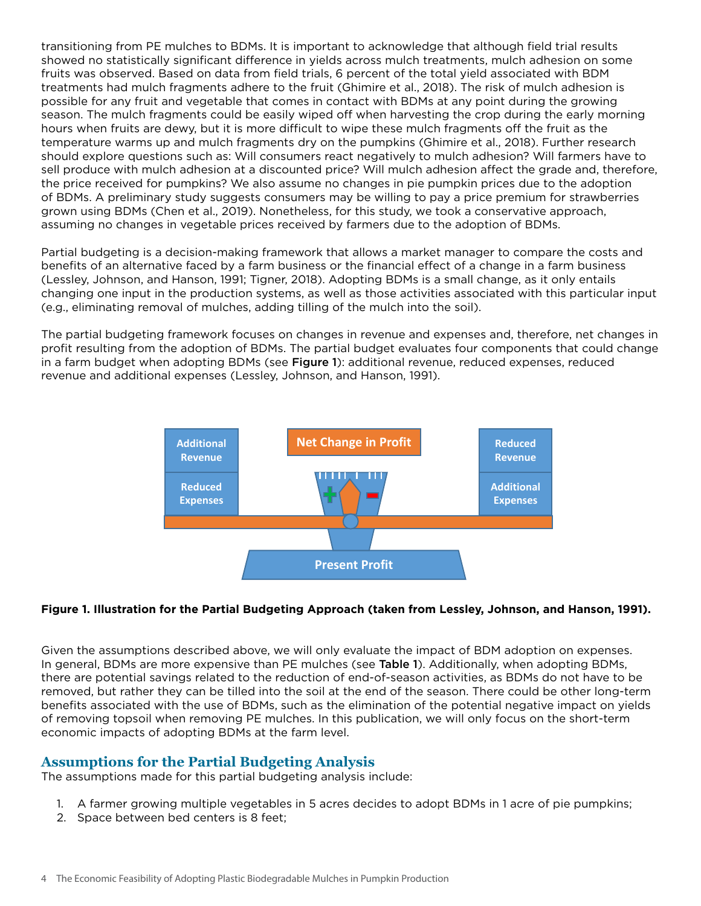transitioning from PE mulches to BDMs. It is important to acknowledge that although field trial results showed no statistically significant difference in yields across mulch treatments, mulch adhesion on some fruits was observed. Based on data from field trials, 6 percent of the total yield associated with BDM treatments had mulch fragments adhere to the fruit (Ghimire et al., 2018). The risk of mulch adhesion is possible for any fruit and vegetable that comes in contact with BDMs at any point during the growing season. The mulch fragments could be easily wiped off when harvesting the crop during the early morning hours when fruits are dewy, but it is more difficult to wipe these mulch fragments off the fruit as the temperature warms up and mulch fragments dry on the pumpkins (Ghimire et al., 2018). Further research should explore questions such as: Will consumers react negatively to mulch adhesion? Will farmers have to sell produce with mulch adhesion at a discounted price? Will mulch adhesion affect the grade and, therefore, the price received for pumpkins? We also assume no changes in pie pumpkin prices due to the adoption of BDMs. A preliminary study suggests consumers may be willing to pay a price premium for strawberries grown using BDMs (Chen et al., 2019). Nonetheless, for this study, we took a conservative approach, assuming no changes in vegetable prices received by farmers due to the adoption of BDMs.

Partial budgeting is a decision-making framework that allows a market manager to compare the costs and benefits of an alternative faced by a farm business or the financial effect of a change in a farm business (Lessley, Johnson, and Hanson, 1991; Tigner, 2018). Adopting BDMs is a small change, as it only entails changing one input in the production systems, as well as those activities associated with this particular input (e.g., eliminating removal of mulches, adding tilling of the mulch into the soil).

The partial budgeting framework focuses on changes in revenue and expenses and, therefore, net changes in profit resulting from the adoption of BDMs. The partial budget evaluates four components that could change in a farm budget when adopting BDMs (see Figure 1): additional revenue, reduced expenses, reduced revenue and additional expenses (Lessley, Johnson, and Hanson, 1991).



#### **Figure 1. Illustration for the Partial Budgeting Approach (taken from Lessley, Johnson, and Hanson, 1991).**

Given the assumptions described above, we will only evaluate the impact of BDM adoption on expenses. In general, BDMs are more expensive than PE mulches (see Table 1). Additionally, when adopting BDMs, there are potential savings related to the reduction of end-of-season activities, as BDMs do not have to be removed, but rather they can be tilled into the soil at the end of the season. There could be other long-term benefits associated with the use of BDMs, such as the elimination of the potential negative impact on yields of removing topsoil when removing PE mulches. In this publication, we will only focus on the short-term economic impacts of adopting BDMs at the farm level.

#### **Assumptions for the Partial Budgeting Analysis**

The assumptions made for this partial budgeting analysis include:

- 1. A farmer growing multiple vegetables in 5 acres decides to adopt BDMs in 1 acre of pie pumpkins;
- 2. Space between bed centers is 8 feet;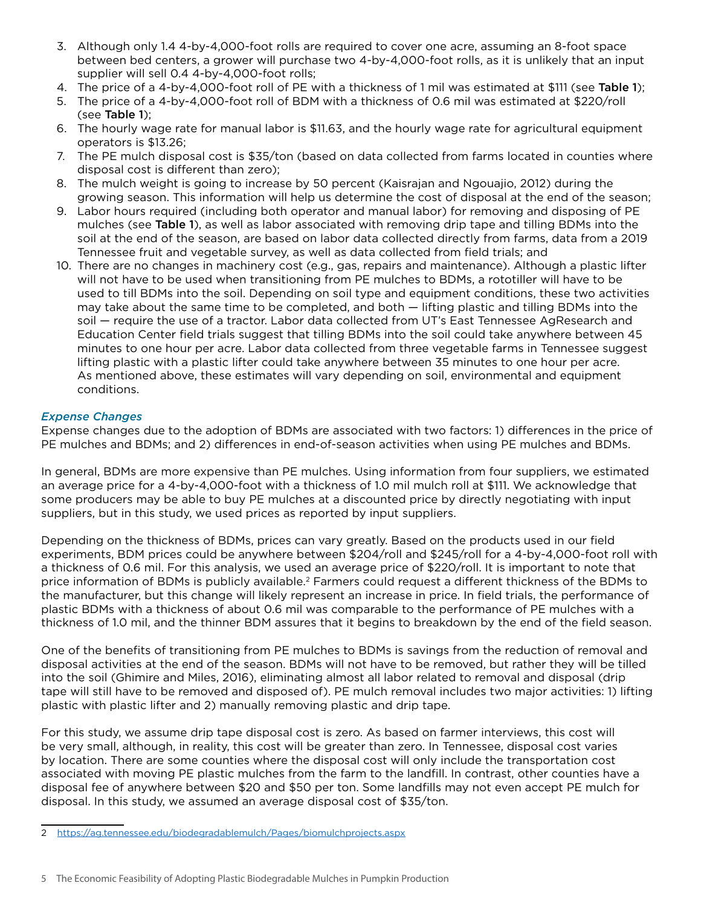- 3. Although only 1.4 4-by-4,000-foot rolls are required to cover one acre, assuming an 8-foot space between bed centers, a grower will purchase two 4-by-4,000-foot rolls, as it is unlikely that an input supplier will sell 0.4 4-by-4,000-foot rolls;
- 4. The price of a 4-by-4,000-foot roll of PE with a thickness of 1 mil was estimated at \$111 (see Table 1);
- 5. The price of a 4-by-4,000-foot roll of BDM with a thickness of 0.6 mil was estimated at \$220/roll (see Table 1);
- 6. The hourly wage rate for manual labor is \$11.63, and the hourly wage rate for agricultural equipment operators is \$13.26;
- 7. The PE mulch disposal cost is \$35/ton (based on data collected from farms located in counties where disposal cost is different than zero);
- 8. The mulch weight is going to increase by 50 percent (Kaisrajan and Ngouajio, 2012) during the growing season. This information will help us determine the cost of disposal at the end of the season;
- 9. Labor hours required (including both operator and manual labor) for removing and disposing of PE mulches (see Table 1), as well as labor associated with removing drip tape and tilling BDMs into the soil at the end of the season, are based on labor data collected directly from farms, data from a 2019 Tennessee fruit and vegetable survey, as well as data collected from field trials; and
- 10. There are no changes in machinery cost (e.g., gas, repairs and maintenance). Although a plastic lifter will not have to be used when transitioning from PE mulches to BDMs, a rototiller will have to be used to till BDMs into the soil. Depending on soil type and equipment conditions, these two activities may take about the same time to be completed, and both — lifting plastic and tilling BDMs into the soil — require the use of a tractor. Labor data collected from UT's East Tennessee AgResearch and Education Center field trials suggest that tilling BDMs into the soil could take anywhere between 45 minutes to one hour per acre. Labor data collected from three vegetable farms in Tennessee suggest lifting plastic with a plastic lifter could take anywhere between 35 minutes to one hour per acre. As mentioned above, these estimates will vary depending on soil, environmental and equipment conditions.

#### *Expense Changes*

Expense changes due to the adoption of BDMs are associated with two factors: 1) differences in the price of PE mulches and BDMs; and 2) differences in end-of-season activities when using PE mulches and BDMs.

In general, BDMs are more expensive than PE mulches. Using information from four suppliers, we estimated an average price for a 4-by-4,000-foot with a thickness of 1.0 mil mulch roll at \$111. We acknowledge that some producers may be able to buy PE mulches at a discounted price by directly negotiating with input suppliers, but in this study, we used prices as reported by input suppliers.

Depending on the thickness of BDMs, prices can vary greatly. Based on the products used in our field experiments, BDM prices could be anywhere between \$204/roll and \$245/roll for a 4-by-4,000-foot roll with a thickness of 0.6 mil. For this analysis, we used an average price of \$220/roll. It is important to note that price information of BDMs is publicly available.<sup>2</sup> Farmers could request a different thickness of the BDMs to the manufacturer, but this change will likely represent an increase in price. In field trials, the performance of plastic BDMs with a thickness of about 0.6 mil was comparable to the performance of PE mulches with a thickness of 1.0 mil, and the thinner BDM assures that it begins to breakdown by the end of the field season.

One of the benefits of transitioning from PE mulches to BDMs is savings from the reduction of removal and disposal activities at the end of the season. BDMs will not have to be removed, but rather they will be tilled into the soil (Ghimire and Miles, 2016), eliminating almost all labor related to removal and disposal (drip tape will still have to be removed and disposed of). PE mulch removal includes two major activities: 1) lifting plastic with plastic lifter and 2) manually removing plastic and drip tape.

For this study, we assume drip tape disposal cost is zero. As based on farmer interviews, this cost will be very small, although, in reality, this cost will be greater than zero. In Tennessee, disposal cost varies by location. There are some counties where the disposal cost will only include the transportation cost associated with moving PE plastic mulches from the farm to the landfill. In contrast, other counties have a disposal fee of anywhere between \$20 and \$50 per ton. Some landfills may not even accept PE mulch for disposal. In this study, we assumed an average disposal cost of \$35/ton.

<sup>2</sup> <https://ag.tennessee.edu/biodegradablemulch/Pages/biomulchprojects.aspx>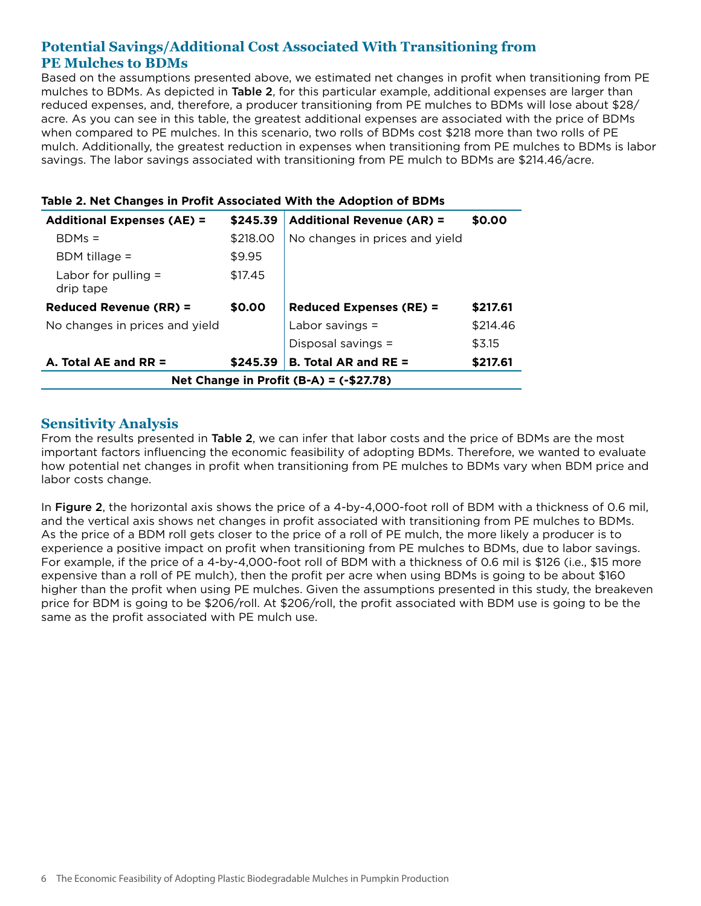# **Potential Savings/Additional Cost Associated With Transitioning from PE Mulches to BDMs**

Based on the assumptions presented above, we estimated net changes in profit when transitioning from PE mulches to BDMs. As depicted in Table 2, for this particular example, additional expenses are larger than reduced expenses, and, therefore, a producer transitioning from PE mulches to BDMs will lose about \$28/ acre. As you can see in this table, the greatest additional expenses are associated with the price of BDMs when compared to PE mulches. In this scenario, two rolls of BDMs cost \$218 more than two rolls of PE mulch. Additionally, the greatest reduction in expenses when transitioning from PE mulches to BDMs is labor savings. The labor savings associated with transitioning from PE mulch to BDMs are \$214.46/acre.

| <b>Additional Expenses (AE) =</b>        | \$245.39 | <b>Additional Revenue (AR) =</b> | \$0.00   |  |  |  |
|------------------------------------------|----------|----------------------------------|----------|--|--|--|
| $BDMs =$                                 | \$218.00 | No changes in prices and yield   |          |  |  |  |
| $BDM$ tillage =                          | \$9.95   |                                  |          |  |  |  |
| Labor for pulling $=$<br>drip tape       | \$17.45  |                                  |          |  |  |  |
| <b>Reduced Revenue (RR) =</b>            | \$0.00   | <b>Reduced Expenses (RE) =</b>   | \$217.61 |  |  |  |
| No changes in prices and yield           |          | Labor savings $=$                | \$214.46 |  |  |  |
|                                          |          | Disposal savings =               | \$3.15   |  |  |  |
| A. Total AE and RR $=$                   | \$245.39 | <b>B. Total AR and RE =</b>      | \$217.61 |  |  |  |
| Net Change in Profit (B-A) = $(-$27.78)$ |          |                                  |          |  |  |  |

|  | Table 2. Net Changes in Profit Associated With the Adoption of BDMs |  |  |  |
|--|---------------------------------------------------------------------|--|--|--|
|--|---------------------------------------------------------------------|--|--|--|

## **Sensitivity Analysis**

From the results presented in Table 2, we can infer that labor costs and the price of BDMs are the most important factors influencing the economic feasibility of adopting BDMs. Therefore, we wanted to evaluate how potential net changes in profit when transitioning from PE mulches to BDMs vary when BDM price and labor costs change.

In Figure 2, the horizontal axis shows the price of a 4-by-4,000-foot roll of BDM with a thickness of 0.6 mil, and the vertical axis shows net changes in profit associated with transitioning from PE mulches to BDMs. As the price of a BDM roll gets closer to the price of a roll of PE mulch, the more likely a producer is to experience a positive impact on profit when transitioning from PE mulches to BDMs, due to labor savings. For example, if the price of a 4-by-4,000-foot roll of BDM with a thickness of 0.6 mil is \$126 (i.e., \$15 more expensive than a roll of PE mulch), then the profit per acre when using BDMs is going to be about \$160 higher than the profit when using PE mulches. Given the assumptions presented in this study, the breakeven price for BDM is going to be \$206/roll. At \$206/roll, the profit associated with BDM use is going to be the same as the profit associated with PE mulch use.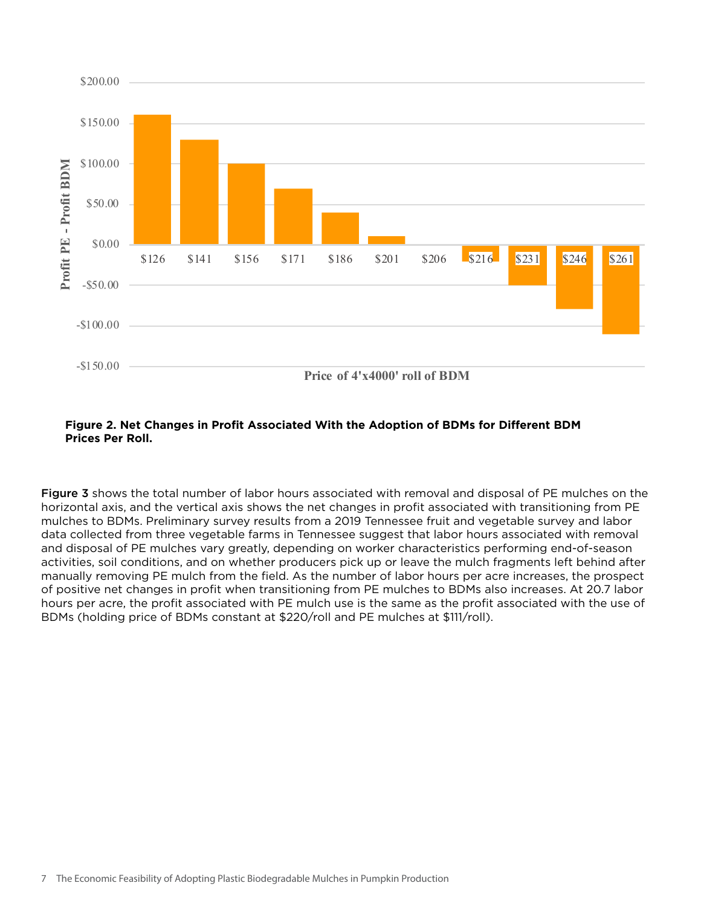

#### **Figure 2. Net Changes in Profit Associated With the Adoption of BDMs for Different BDM Prices Per Roll.**

Figure 3 shows the total number of labor hours associated with removal and disposal of PE mulches on the horizontal axis, and the vertical axis shows the net changes in profit associated with transitioning from PE mulches to BDMs. Preliminary survey results from a 2019 Tennessee fruit and vegetable survey and labor data collected from three vegetable farms in Tennessee suggest that labor hours associated with removal and disposal of PE mulches vary greatly, depending on worker characteristics performing end-of-season activities, soil conditions, and on whether producers pick up or leave the mulch fragments left behind after manually removing PE mulch from the field. As the number of labor hours per acre increases, the prospect of positive net changes in profit when transitioning from PE mulches to BDMs also increases. At 20.7 labor hours per acre, the profit associated with PE mulch use is the same as the profit associated with the use of BDMs (holding price of BDMs constant at \$220/roll and PE mulches at \$111/roll).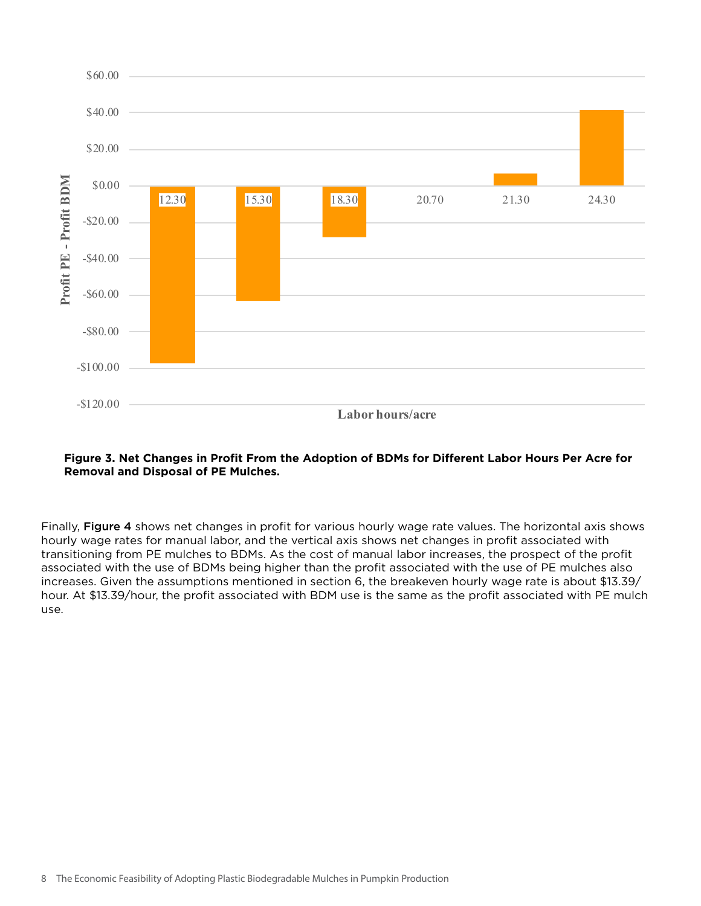

#### **Figure 3. Net Changes in Profit From the Adoption of BDMs for Different Labor Hours Per Acre for Removal and Disposal of PE Mulches.**

Finally, Figure 4 shows net changes in profit for various hourly wage rate values. The horizontal axis shows hourly wage rates for manual labor, and the vertical axis shows net changes in profit associated with transitioning from PE mulches to BDMs. As the cost of manual labor increases, the prospect of the profit associated with the use of BDMs being higher than the profit associated with the use of PE mulches also increases. Given the assumptions mentioned in section 6, the breakeven hourly wage rate is about \$13.39/ hour. At \$13.39/hour, the profit associated with BDM use is the same as the profit associated with PE mulch use.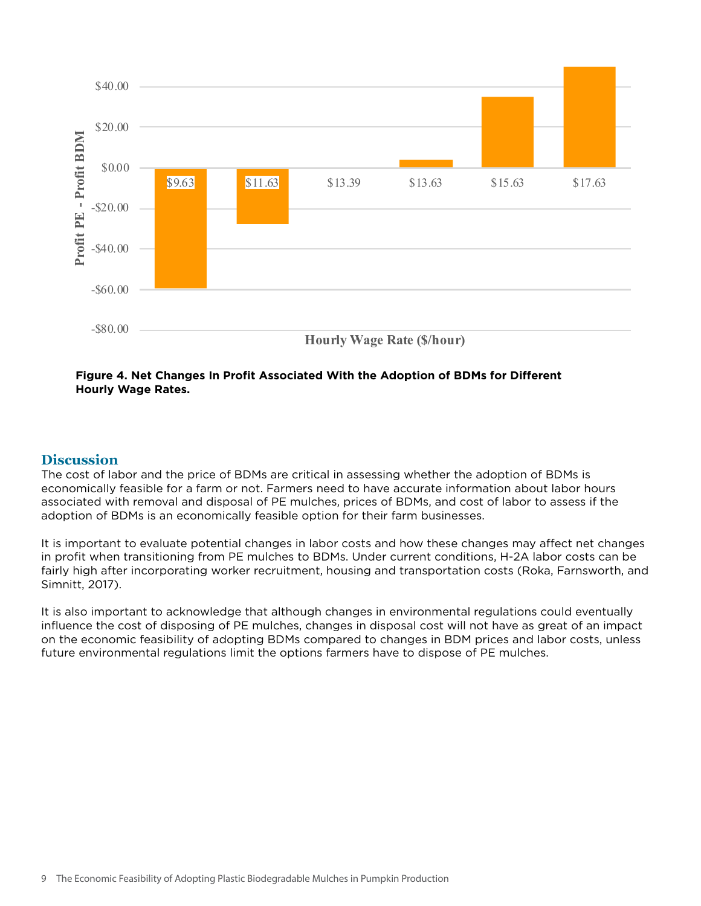

#### **Figure 4. Net Changes In Profit Associated With the Adoption of BDMs for Different Hourly Wage Rates.**

#### **Discussion**

The cost of labor and the price of BDMs are critical in assessing whether the adoption of BDMs is economically feasible for a farm or not. Farmers need to have accurate information about labor hours associated with removal and disposal of PE mulches, prices of BDMs, and cost of labor to assess if the adoption of BDMs is an economically feasible option for their farm businesses.

It is important to evaluate potential changes in labor costs and how these changes may affect net changes in profit when transitioning from PE mulches to BDMs. Under current conditions, H-2A labor costs can be fairly high after incorporating worker recruitment, housing and transportation costs (Roka, Farnsworth, and Simnitt, 2017).

It is also important to acknowledge that although changes in environmental regulations could eventually influence the cost of disposing of PE mulches, changes in disposal cost will not have as great of an impact on the economic feasibility of adopting BDMs compared to changes in BDM prices and labor costs, unless future environmental regulations limit the options farmers have to dispose of PE mulches.